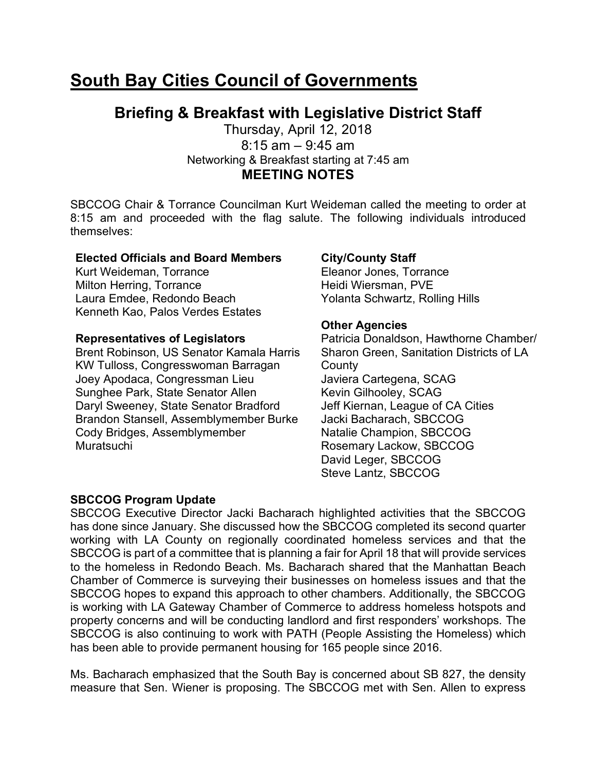# **South Bay Cities Council of Governments**

# **Briefing & Breakfast with Legislative District Staff**

Thursday, April 12, 2018  $8:15$  am  $-9:45$  am Networking & Breakfast starting at 7:45 am **MEETING NOTES** 

SBCCOG Chair & Torrance Councilman Kurt Weideman called the meeting to order at 8:15 am and proceeded with the flag salute. The following individuals introduced themselves:

#### **Elected Officials and Board Members**

Kurt Weideman, Torrance Milton Herring, Torrance Laura Emdee, Redondo Beach Kenneth Kao, Palos Verdes Estates

#### **Representatives of Legislators**

Brent Robinson, US Senator Kamala Harris KW Tulloss, Congresswoman Barragan Joey Apodaca, Congressman Lieu Sunghee Park, State Senator Allen Daryl Sweeney, State Senator Bradford Brandon Stansell, Assemblymember Burke Cody Bridges, Assemblymember Muratsuchi

#### **City/County Staff**

Eleanor Jones, Torrance Heidi Wiersman, PVE Yolanta Schwartz, Rolling Hills

#### **Other Agencies**

Patricia Donaldson, Hawthorne Chamber/ Sharon Green, Sanitation Districts of LA **County** Javiera Cartegena, SCAG Kevin Gilhooley, SCAG Jeff Kiernan, League of CA Cities Jacki Bacharach, SBCCOG Natalie Champion, SBCCOG Rosemary Lackow, SBCCOG David Leger, SBCCOG Steve Lantz, SBCCOG

#### **SBCCOG Program Update**

SBCCOG Executive Director Jacki Bacharach highlighted activities that the SBCCOG has done since January. She discussed how the SBCCOG completed its second quarter working with LA County on regionally coordinated homeless services and that the SBCCOG is part of a committee that is planning a fair for April 18 that will provide services to the homeless in Redondo Beach. Ms. Bacharach shared that the Manhattan Beach Chamber of Commerce is surveying their businesses on homeless issues and that the SBCCOG hopes to expand this approach to other chambers. Additionally, the SBCCOG is working with LA Gateway Chamber of Commerce to address homeless hotspots and property concerns and will be conducting landlord and first responders' workshops. The SBCCOG is also continuing to work with PATH (People Assisting the Homeless) which has been able to provide permanent housing for 165 people since 2016.

Ms. Bacharach emphasized that the South Bay is concerned about SB 827, the density measure that Sen. Wiener is proposing. The SBCCOG met with Sen. Allen to express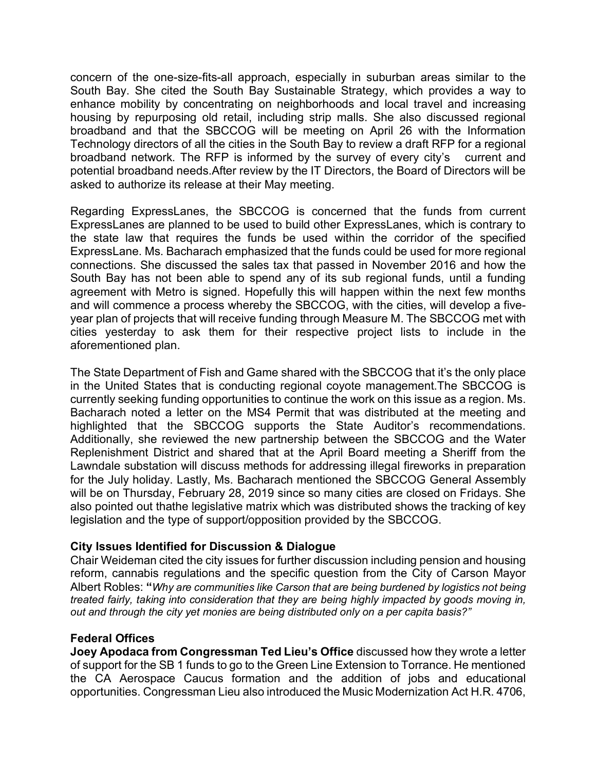concern of the one-size-fits-all approach, especially in suburban areas similar to the South Bay. She cited the South Bay Sustainable Strategy, which provides a way to enhance mobility by concentrating on neighborhoods and local travel and increasing housing by repurposing old retail, including strip malls. She also discussed regional broadband and that the SBCCOG will be meeting on April 26 with the Information Technology directors of all the cities in the South Bay to review a draft RFP for a regional broadband network. The RFP is informed by the survey of every city's current and potential broadband needs.After review by the IT Directors, the Board of Directors will be asked to authorize its release at their May meeting.

Regarding ExpressLanes, the SBCCOG is concerned that the funds from current ExpressLanes are planned to be used to build other ExpressLanes, which is contrary to the state law that requires the funds be used within the corridor of the specified ExpressLane. Ms. Bacharach emphasized that the funds could be used for more regional connections. She discussed the sales tax that passed in November 2016 and how the South Bay has not been able to spend any of its sub regional funds, until a funding agreement with Metro is signed. Hopefully this will happen within the next few months and will commence a process whereby the SBCCOG, with the cities, will develop a fiveyear plan of projects that will receive funding through Measure M. The SBCCOG met with cities yesterday to ask them for their respective project lists to include in the aforementioned plan.

The State Department of Fish and Game shared with the SBCCOG that it's the only place in the United States that is conducting regional coyote management.The SBCCOG is currently seeking funding opportunities to continue the work on this issue as a region. Ms. Bacharach noted a letter on the MS4 Permit that was distributed at the meeting and highlighted that the SBCCOG supports the State Auditor's recommendations. Additionally, she reviewed the new partnership between the SBCCOG and the Water Replenishment District and shared that at the April Board meeting a Sheriff from the Lawndale substation will discuss methods for addressing illegal fireworks in preparation for the July holiday. Lastly, Ms. Bacharach mentioned the SBCCOG General Assembly will be on Thursday, February 28, 2019 since so many cities are closed on Fridays. She also pointed out thathe legislative matrix which was distributed shows the tracking of key legislation and the type of support/opposition provided by the SBCCOG.

#### **City Issues Identified for Discussion & Dialogue**

Chair Weideman cited the city issues for further discussion including pension and housing reform, cannabis regulations and the specific question from the City of Carson Mayor Albert Robles: **"***Why are communities like Carson that are being burdened by logistics not being treated fairly, taking into consideration that they are being highly impacted by goods moving in, out and through the city yet monies are being distributed only on a per capita basis?"* 

#### **Federal Offices**

**Joey Apodaca from Congressman Ted Lieu's Office** discussed how they wrote a letter of support for the SB 1 funds to go to the Green Line Extension to Torrance. He mentioned the CA Aerospace Caucus formation and the addition of jobs and educational opportunities. Congressman Lieu also introduced the Music Modernization Act H.R. 4706,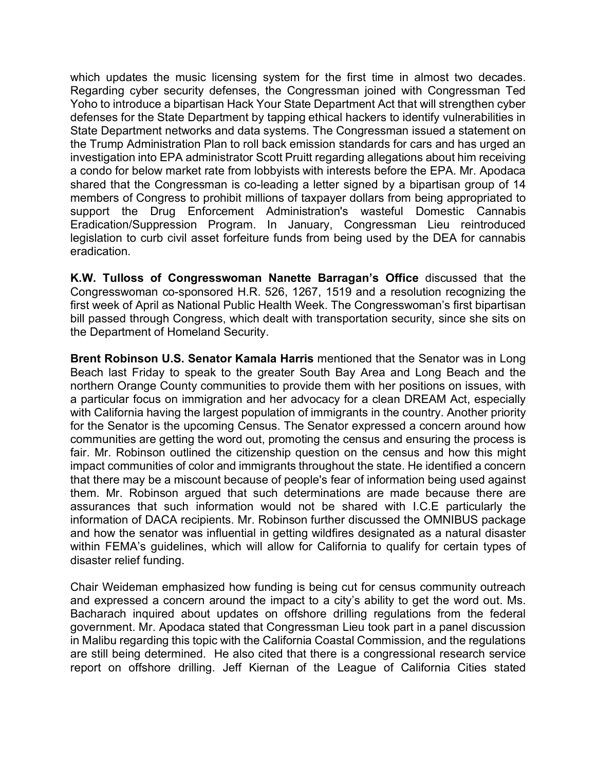which updates the music licensing system for the first time in almost two decades. Regarding cyber security defenses, the Congressman joined with Congressman Ted Yoho to introduce a bipartisan Hack Your State Department Act that will strengthen cyber defenses for the State Department by tapping ethical hackers to identify vulnerabilities in State Department networks and data systems. The Congressman issued a statement on the Trump Administration Plan to roll back emission standards for cars and has urged an investigation into EPA administrator Scott Pruitt regarding allegations about him receiving a condo for below market rate from lobbyists with interests before the EPA. Mr. Apodaca shared that the Congressman is co-leading a letter signed by a bipartisan group of 14 members of Congress to prohibit millions of taxpayer dollars from being appropriated to support the Drug Enforcement Administration's wasteful Domestic Cannabis Eradication/Suppression Program. In January, Congressman Lieu reintroduced legislation to curb civil asset forfeiture funds from being used by the DEA for cannabis eradication.

**K.W. Tulloss of Congresswoman Nanette Barragan's Office** discussed that the Congresswoman co-sponsored H.R. 526, 1267, 1519 and a resolution recognizing the first week of April as National Public Health Week. The Congresswoman's first bipartisan bill passed through Congress, which dealt with transportation security, since she sits on the Department of Homeland Security.

**Brent Robinson U.S. Senator Kamala Harris** mentioned that the Senator was in Long Beach last Friday to speak to the greater South Bay Area and Long Beach and the northern Orange County communities to provide them with her positions on issues, with a particular focus on immigration and her advocacy for a clean DREAM Act, especially with California having the largest population of immigrants in the country. Another priority for the Senator is the upcoming Census. The Senator expressed a concern around how communities are getting the word out, promoting the census and ensuring the process is fair. Mr. Robinson outlined the citizenship question on the census and how this might impact communities of color and immigrants throughout the state. He identified a concern that there may be a miscount because of people's fear of information being used against them. Mr. Robinson argued that such determinations are made because there are assurances that such information would not be shared with I.C.E particularly the information of DACA recipients. Mr. Robinson further discussed the OMNIBUS package and how the senator was influential in getting wildfires designated as a natural disaster within FEMA's guidelines, which will allow for California to qualify for certain types of disaster relief funding.

Chair Weideman emphasized how funding is being cut for census community outreach and expressed a concern around the impact to a city's ability to get the word out. Ms. Bacharach inquired about updates on offshore drilling regulations from the federal government. Mr. Apodaca stated that Congressman Lieu took part in a panel discussion in Malibu regarding this topic with the California Coastal Commission, and the regulations are still being determined. He also cited that there is a congressional research service report on offshore drilling. Jeff Kiernan of the League of California Cities stated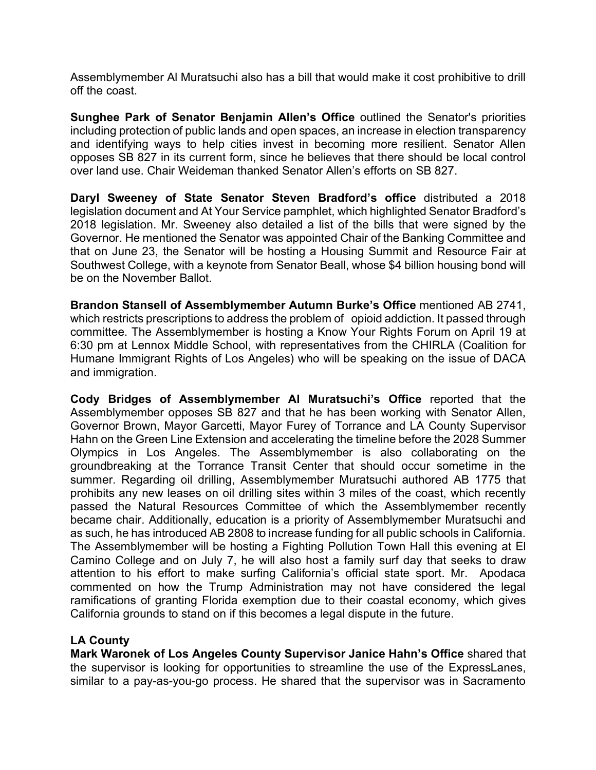Assemblymember Al Muratsuchi also has a bill that would make it cost prohibitive to drill off the coast.

**Sunghee Park of Senator Benjamin Allen's Office** outlined the Senator's priorities including protection of public lands and open spaces, an increase in election transparency and identifying ways to help cities invest in becoming more resilient. Senator Allen opposes SB 827 in its current form, since he believes that there should be local control over land use. Chair Weideman thanked Senator Allen's efforts on SB 827.

**Daryl Sweeney of State Senator Steven Bradford's office** distributed a 2018 legislation document and At Your Service pamphlet, which highlighted Senator Bradford's 2018 legislation. Mr. Sweeney also detailed a list of the bills that were signed by the Governor. He mentioned the Senator was appointed Chair of the Banking Committee and that on June 23, the Senator will be hosting a Housing Summit and Resource Fair at Southwest College, with a keynote from Senator Beall, whose \$4 billion housing bond will be on the November Ballot.

**Brandon Stansell of Assemblymember Autumn Burke's Office** mentioned AB 2741, which restricts prescriptions to address the problem of opioid addiction. It passed through committee. The Assemblymember is hosting a Know Your Rights Forum on April 19 at 6:30 pm at Lennox Middle School, with representatives from the CHIRLA (Coalition for Humane Immigrant Rights of Los Angeles) who will be speaking on the issue of DACA and immigration.

**Cody Bridges of Assemblymember Al Muratsuchi's Office** reported that the Assemblymember opposes SB 827 and that he has been working with Senator Allen, Governor Brown, Mayor Garcetti, Mayor Furey of Torrance and LA County Supervisor Hahn on the Green Line Extension and accelerating the timeline before the 2028 Summer Olympics in Los Angeles. The Assemblymember is also collaborating on the groundbreaking at the Torrance Transit Center that should occur sometime in the summer. Regarding oil drilling, Assemblymember Muratsuchi authored AB 1775 that prohibits any new leases on oil drilling sites within 3 miles of the coast, which recently passed the Natural Resources Committee of which the Assemblymember recently became chair. Additionally, education is a priority of Assemblymember Muratsuchi and as such, he has introduced AB 2808 to increase funding for all public schools in California. The Assemblymember will be hosting a Fighting Pollution Town Hall this evening at El Camino College and on July 7, he will also host a family surf day that seeks to draw attention to his effort to make surfing California's official state sport. Mr. Apodaca commented on how the Trump Administration may not have considered the legal ramifications of granting Florida exemption due to their coastal economy, which gives California grounds to stand on if this becomes a legal dispute in the future.

## **LA County**

**Mark Waronek of Los Angeles County Supervisor Janice Hahn's Office** shared that the supervisor is looking for opportunities to streamline the use of the ExpressLanes, similar to a pay-as-you-go process. He shared that the supervisor was in Sacramento